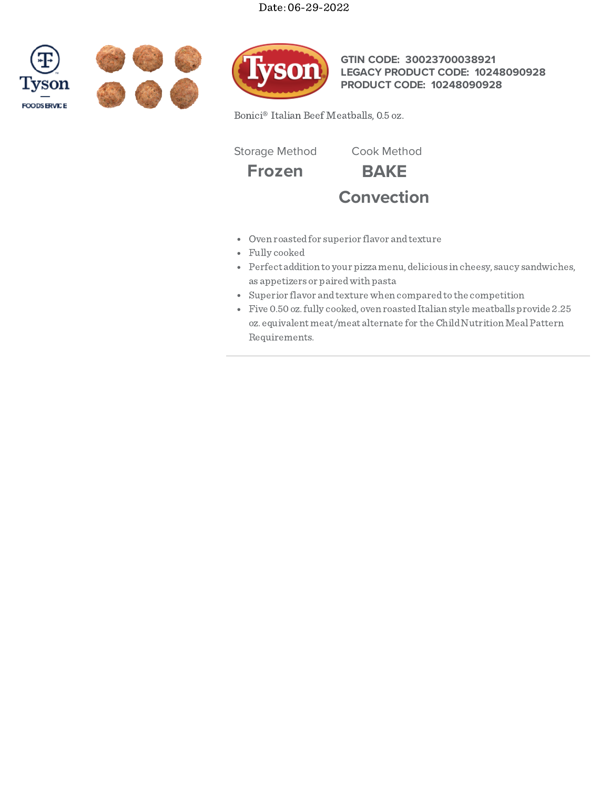# Date: 06-29-2022







**GTIN CODE: 30023700038921 LEGACY PRODUCT CODE: 10248090928 PRODUCT CODE: 10248090928**

Bonici® Italian Beef Meatballs, 0.5 oz.

Storage Method Cook Method

**Frozen BAKE**



- Oven roastedfor superior flavor andtexture
- Fully cooked
- Perfect addition to your pizza menu, delicious in cheesy, saucy sandwiches, as appetizers or pairedwith pasta
- Superior flavor andtexture when comparedto the competition
- Five 0.50 oz.fully cooked, oven roastedItalian style meatballs provide 2.25 oz. equivalent meat/meat alternate for the Child Nutrition Meal Pattern Requirements.